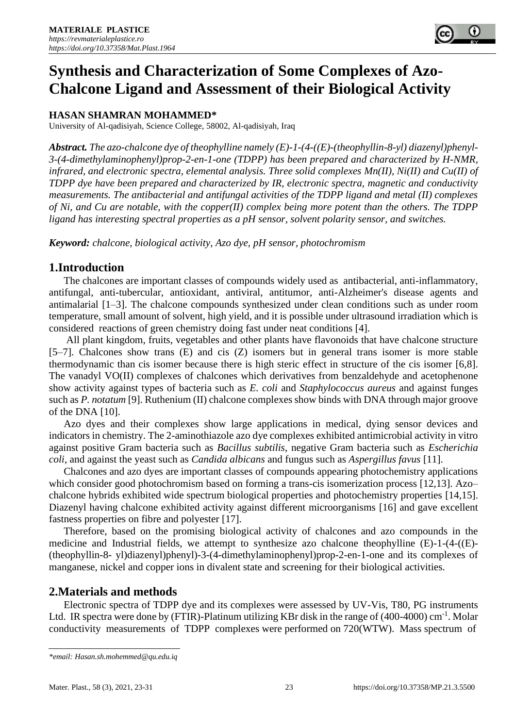## **HASAN SHAMRAN MOHAMMED\***

University of Al-qadisiyah, Science College, 58002, Al-qadisiyah, Iraq

*Abstract. The azo-chalcone dye of theophylline namely (E)-1-(4-((E)-(theophyllin-8-yl) diazenyl)phenyl-3-(4-dimethylaminophenyl)prop-2-en-1-one (TDPP) has been prepared and characterized by H-NMR, infrared, and electronic spectra, elemental analysis. Three solid complexes Mn(II), Ni(II) and Cu(II) of TDPP dye have been prepared and characterized by IR, electronic spectra, magnetic and conductivity measurements. The antibacterial and antifungal activities of the TDPP ligand and metal (II) complexes of Ni, and Cu are notable, with the copper(II) complex being more potent than the others. The TDPP ligand has interesting spectral properties as a pH sensor, solvent polarity sensor, and switches.*

*Keyword: chalcone, biological activity, Azo dye, pH sensor, photochromism*

### **1.Introduction**

The chalcones are important classes of compounds widely used as antibacterial, anti-inflammatory, antifungal, anti-tubercular, antioxidant, antiviral, antitumor, anti-Alzheimer's disease agents and antimalarial [1–3]. The chalcone compounds synthesized under clean conditions such as under room temperature, small amount of solvent, high yield, and it is possible under ultrasound irradiation which is considered reactions of green chemistry doing fast under neat conditions [4].

All plant kingdom, fruits, vegetables and other plants have flavonoids that have chalcone structure [5–7]. Chalcones show trans (E) and cis (Z) isomers but in general trans isomer is more stable thermodynamic than cis isomer because there is high steric effect in structure of the cis isomer [6,8]. The vanadyl VO(II) complexes of chalcones which derivatives from benzaldehyde and acetophenone show activity against types of bacteria such as *E. coli* and *Staphylococcus aureus* and against funges such as *P. notatum* [9]. Ruthenium (II) chalcone complexes show binds with DNA through major groove of the DNA [10].

Azo dyes and their complexes show large applications in medical, dying sensor devices and indicators in chemistry. The 2-aminothiazole azo dye complexes exhibited antimicrobial activity in vitro against positive Gram bacteria such as *Bacillus subtilis*, negative Gram bacteria such as *Escherichia coli*, and against the yeast such as *Candida albicans* and fungus such as *Aspergillus favus* [11].

Chalcones and azo dyes are important classes of compounds appearing photochemistry applications which consider good photochromism based on forming a trans-cis isomerization process [12,13]. Azo– chalcone hybrids exhibited wide spectrum biological properties and photochemistry properties [14,15]. Diazenyl having chalcone exhibited activity against different microorganisms [16] and gave excellent fastness properties on fibre and polyester [17].

Therefore, based on the promising biological activity of chalcones and azo compounds in the medicine and Industrial fields, we attempt to synthesize azo chalcone theophylline (E)-1-(4-((E)- (theophyllin-8- yl)diazenyl)phenyl)-3-(4-dimethylaminophenyl)prop-2-en-1-one and its complexes of manganese, nickel and copper ions in divalent state and screening for their biological activities.

## **2.Materials and methods**

Electronic spectra of TDPP dye and its complexes were assessed by UV-Vis, T80, PG instruments Ltd. IR spectra were done by (FTIR)-Platinum utilizing KBr disk in the range of  $(400-4000)$  cm<sup>-1</sup>. Molar conductivity measurements of TDPP complexes were performed on 720(WTW). Mass spectrum of

*<sup>\*</sup>email: Hasan.sh.mohemmed@qu.edu.iq*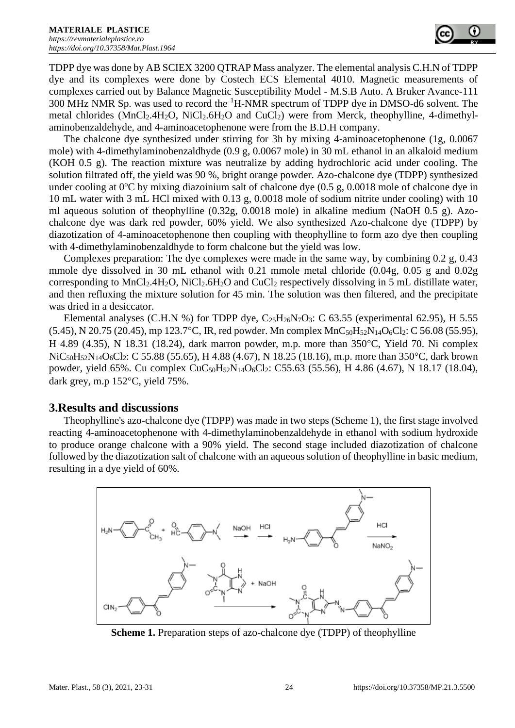TDPP dye was done by AB SCIEX 3200 QTRAP Mass analyzer. The elemental analysis C.H.N of TDPP dye and its complexes were done by Costech ECS Elemental 4010. Magnetic measurements of complexes carried out by Balance Magnetic Susceptibility Model - M.S.B Auto. A Bruker Avance-111 300 MHz NMR Sp. was used to record the <sup>1</sup>H-NMR spectrum of TDPP dye in DMSO-d6 solvent. The metal chlorides ( $MnCl<sub>2</sub>4H<sub>2</sub>O$ ,  $NiCl<sub>2</sub>6H<sub>2</sub>O$  and  $CuCl<sub>2</sub>$ ) were from Merck, theophylline, 4-dimethylaminobenzaldehyde, and 4-aminoacetophenone were from the B.D.H company.

The chalcone dye synthesized under stirring for 3h by mixing 4-aminoacetophenone (1g, 0.0067 mole) with 4-dimethylaminobenzaldhyde (0.9 g, 0.0067 mole) in 30 mL ethanol in an alkaloid medium (KOH 0.5 g). The reaction mixture was neutralize by adding hydrochloric acid under cooling. The solution filtrated off, the yield was 90 %, bright orange powder. Azo-chalcone dye (TDPP) synthesized under cooling at  $0^{\circ}$ C by mixing diazoinium salt of chalcone dye (0.5 g, 0.0018 mole of chalcone dye in 10 mL water with 3 mL HCl mixed with 0.13 g, 0.0018 mole of sodium nitrite under cooling) with 10 ml aqueous solution of theophylline (0.32g, 0.0018 mole) in alkaline medium (NaOH 0.5 g). Azochalcone dye was dark red powder, 60% yield. We also synthesized Azo-chalcone dye (TDPP) by diazotization of 4-aminoacetophenone then coupling with theophylline to form azo dye then coupling with 4-dimethylaminobenzaldhyde to form chalcone but the yield was low.

Complexes preparation: The dye complexes were made in the same way, by combining 0.2 g, 0.43 mmole dye dissolved in 30 mL ethanol with 0.21 mmole metal chloride (0.04g, 0.05 g and 0.02g corresponding to MnCl2.4H2O, NiCl2.6H2O and CuCl<sup>2</sup> respectively dissolving in 5 mL distillate water, and then refluxing the mixture solution for 45 min. The solution was then filtered, and the precipitate was dried in a desiccator.

Elemental analyses (C.H.N %) for TDPP dye,  $C_{25}H_{26}N_7O_3$ : C 63.55 (experimental 62.95), H 5.55  $(5.45)$ , N 20.75 (20.45), mp 123.7°C, IR, red powder. Mn complex  $MnC_{50}H_{52}N_{14}O_6Cl_2$ : C 56.08 (55.95), H 4.89 (4.35), N 18.31 (18.24), dark marron powder, m.p. more than  $350^{\circ}$ C, Yield 70. Ni complex NiC<sub>50</sub>H<sub>52</sub>N<sub>14</sub>O<sub>6</sub>Cl<sub>2</sub>: C 55.88 (55.65), H 4.88 (4.67), N 18.25 (18.16), m.p. more than 350 °C, dark brown powder, yield 65%. Cu complex CuC<sub>50</sub>H<sub>52</sub>N<sub>14</sub>O<sub>6</sub>Cl<sub>2</sub>: C55.63 (55.56), H 4.86 (4.67), N 18.17 (18.04), dark grey, m.p  $152^{\circ}$ C, yield  $75\%$ .

## **3.Results and discussions**

Theophylline's azo-chalcone dye (TDPP) was made in two steps (Scheme 1), the first stage involved reacting 4-aminoacetophenone with 4-dimethylaminobenzaldehyde in ethanol with sodium hydroxide to produce orange chalcone with a 90% yield. The second stage included diazotization of chalcone followed by the diazotization salt of chalcone with an aqueous solution of theophylline in basic medium, resulting in a dye yield of 60%.



**Scheme 1.** Preparation steps of azo-chalcone dye (TDPP) of theophylline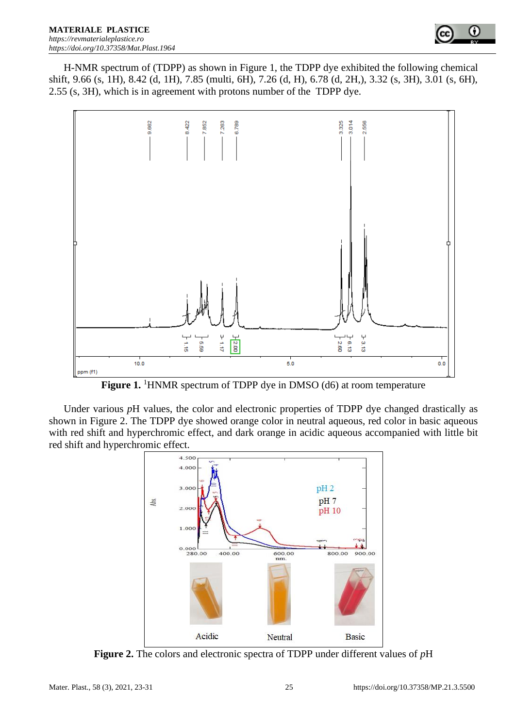

H-NMR spectrum of (TDPP) as shown in Figure 1, the TDPP dye exhibited the following chemical shift, 9.66 (s, 1H), 8.42 (d, 1H), 7.85 (multi, 6H), 7.26 (d, H), 6.78 (d, 2H,), 3.32 (s, 3H), 3.01 (s, 6H), 2.55 (s, 3H), which is in agreement with protons number of the TDPP dye.



**Figure 1.** <sup>1</sup>HNMR spectrum of TDPP dye in DMSO (d6) at room temperature

Under various *pH* values, the color and electronic properties of TDPP dye changed drastically as shown in Figure 2. The TDPP dye showed orange color in neutral aqueous, red color in basic aqueous with red shift and hyperchromic effect, and dark orange in acidic aqueous accompanied with little bit red shift and hyperchromic effect.



**Figure 2.** The colors and electronic spectra of TDPP under different values of *p*H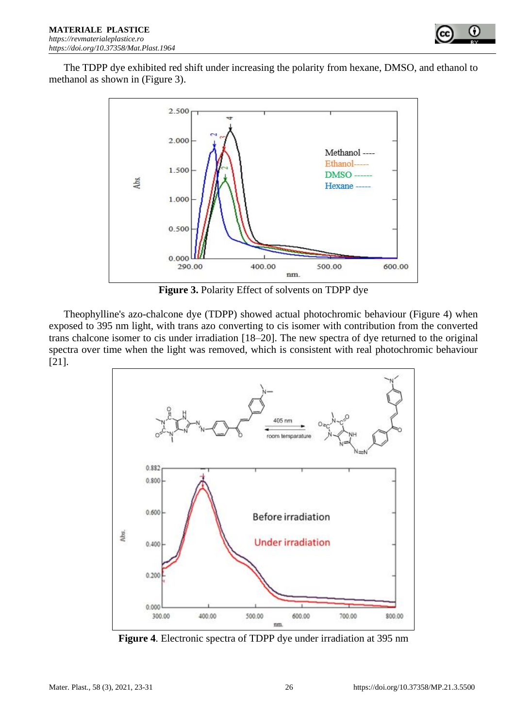

The TDPP dye exhibited red shift under increasing the polarity from hexane, DMSO, and ethanol to methanol as shown in (Figure 3).



**Figure 3.** Polarity Effect of solvents on TDPP dye

Theophylline's azo-chalcone dye (TDPP) showed actual photochromic behaviour (Figure 4) when exposed to 395 nm light, with trans azo converting to cis isomer with contribution from the converted trans chalcone isomer to cis under irradiation [18–20]. The new spectra of dye returned to the original spectra over time when the light was removed, which is consistent with real photochromic behaviour [21].



**Figure 4**. Electronic spectra of TDPP dye under irradiation at 395 nm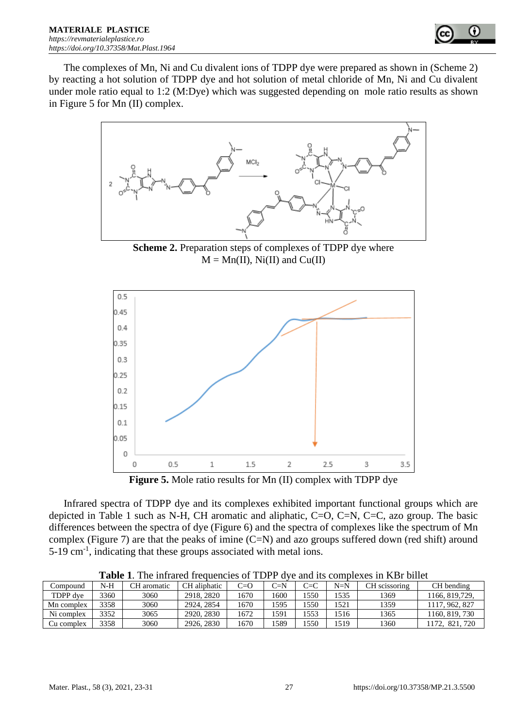

The complexes of Mn, Ni and Cu divalent ions of TDPP dye were prepared as shown in (Scheme 2) by reacting a hot solution of TDPP dye and hot solution of metal chloride of Mn, Ni and Cu divalent under mole ratio equal to 1:2 (M:Dye) which was suggested depending on mole ratio results as shown in Figure 5 for Mn (II) complex.



**Scheme 2.** Preparation steps of complexes of TDPP dye where  $M = Mn(II)$ , Ni(II) and Cu(II)



**Figure 5.** Mole ratio results for Mn (II) complex with TDPP dye

Infrared spectra of TDPP dye and its complexes exhibited important functional groups which are depicted in Table 1 such as N-H, CH aromatic and aliphatic, C=O, C=N, C=C, azo group. The basic differences between the spectra of dye (Figure 6) and the spectra of complexes like the spectrum of Mn complex (Figure 7) are that the peaks of imine  $(C=N)$  and azo groups suffered down (red shift) around  $5-19$  cm<sup>-1</sup>, indicating that these groups associated with metal ions.

| ∴ompound   | N-H  | aromatic | CH aliphatic | $C=O$ | $C-N$ | $C = C$ | $N=N$ | CН<br>l scissoring | CH bending     |
|------------|------|----------|--------------|-------|-------|---------|-------|--------------------|----------------|
| TDPP dve   | 3360 | 3060     | 2918, 2820   | 1670  | 1600  | 550     | 1535  | 1369               | 166, 819, 729, |
| Mn complex | 3358 | 3060     | 2924, 2854   | 1670  | 1595  | 550     | 1521  | 1359               | 962, 827       |
| Ni complex | 3352 | 3065     | 2920, 2830   | 1672  | 1591  | 552     | 516   | 1365               | 160, 819, 730  |
| ∴u complex | 3358 | 3060     | 2926, 2830   | 1670  | 1589  | 550     | 519   | 1360               | 720<br>Q J     |

**Table 1**. The infrared frequencies of TDPP dye and its complexes in KBr billet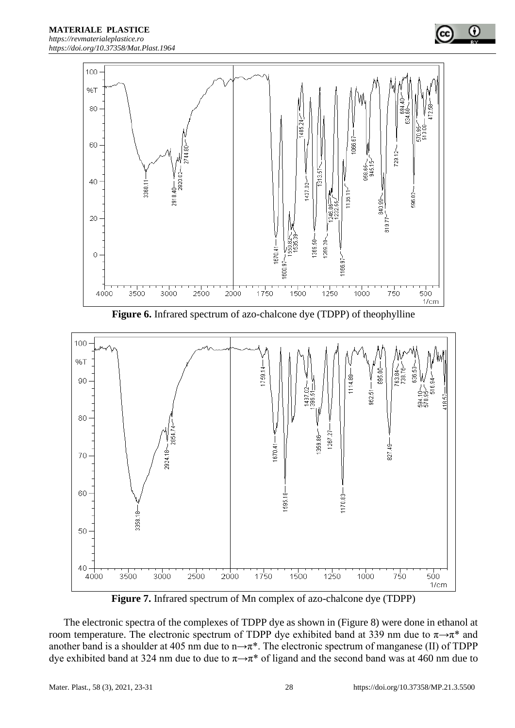

**Figure 6.** Infrared spectrum of azo-chalcone dye (TDPP) of theophylline



**Figure 7.** Infrared spectrum of Mn complex of azo-chalcone dye (TDPP)

The electronic spectra of the complexes of TDPP dye as shown in (Figure 8) were done in ethanol at room temperature. The electronic spectrum of TDPP dye exhibited band at 339 nm due to  $\pi \rightarrow \pi^*$  and another band is a shoulder at 405 nm due to n $\rightarrow \pi^*$ . The electronic spectrum of manganese (II) of TDPP dye exhibited band at 324 nm due to due to  $\pi \rightarrow \pi^*$  of ligand and the second band was at 460 nm due to

G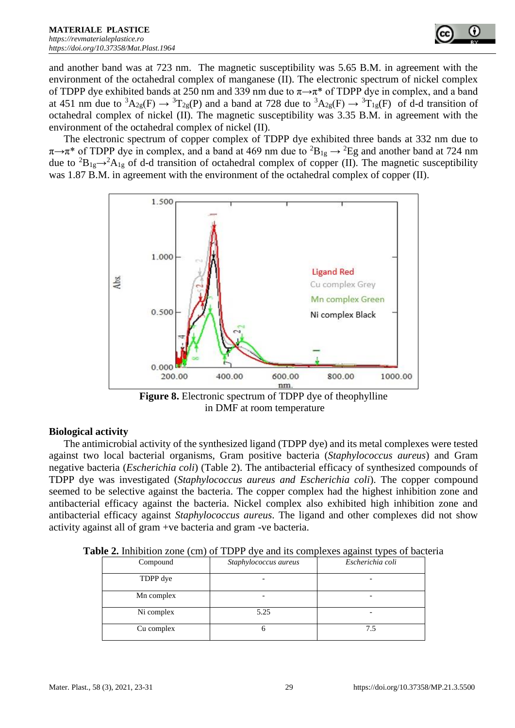

and another band was at 723 nm. The magnetic susceptibility was 5.65 B.M. in agreement with the environment of the octahedral complex of manganese (II). The electronic spectrum of nickel complex of TDPP dye exhibited bands at 250 nm and 339 nm due to  $\pi \rightarrow \pi^*$  of TDPP dye in complex, and a band at 451 nm due to  ${}^3A_{2g}(F) \rightarrow {}^3T_{2g}(P)$  and a band at 728 due to  ${}^3A_{2g}(F) \rightarrow {}^3T_{1g}(F)$  of d-d transition of octahedral complex of nickel (II). The magnetic susceptibility was 3.35 B.M. in agreement with the environment of the octahedral complex of nickel (II).

The electronic spectrum of copper complex of TDPP dye exhibited three bands at 332 nm due to  $\pi \rightarrow \pi^*$  of TDPP dye in complex, and a band at 469 nm due to  ${}^2B_{1g} \rightarrow {}^2Eg$  and another band at 724 nm due to <sup>2</sup>B<sub>1g</sub>→<sup>2</sup>A<sub>1g</sub> of d-d transition of octahedral complex of copper (II). The magnetic susceptibility was 1.87 B.M. in agreement with the environment of the octahedral complex of copper (II).



**Figure 8.** Electronic spectrum of TDPP dye of theophylline in DMF at room temperature

## **Biological activity**

The antimicrobial activity of the synthesized ligand (TDPP dye) and its metal complexes were tested against two local bacterial organisms, Gram positive bacteria (*Staphylococcus aureus*) and Gram negative bacteria (*Escherichia coli*) (Table 2). The antibacterial efficacy of synthesized compounds of TDPP dye was investigated (*Staphylococcus aureus and Escherichia coli*). The copper compound seemed to be selective against the bacteria. The copper complex had the highest inhibition zone and antibacterial efficacy against the bacteria. Nickel complex also exhibited high inhibition zone and antibacterial efficacy against *Staphylococcus aureus*. The ligand and other complexes did not show activity against all of gram +ve bacteria and gram -ve bacteria.

| $\sigma$ . The contract $\sigma$ and $\sigma$ and $\sigma$ and $\sigma$ and $\sigma$ and $\sigma$ and $\sigma$ |            |                       |                  |  |  |  |  |  |
|----------------------------------------------------------------------------------------------------------------|------------|-----------------------|------------------|--|--|--|--|--|
|                                                                                                                | Compound   | Staphylococcus aureus | Escherichia coli |  |  |  |  |  |
|                                                                                                                | TDPP dye   |                       |                  |  |  |  |  |  |
|                                                                                                                | Mn complex |                       |                  |  |  |  |  |  |
|                                                                                                                | Ni complex | 5.25                  |                  |  |  |  |  |  |
|                                                                                                                | Cu complex |                       | 7.5              |  |  |  |  |  |

**Table 2.** Inhibition zone (cm) of TDPP dye and its complexes against types of bacteria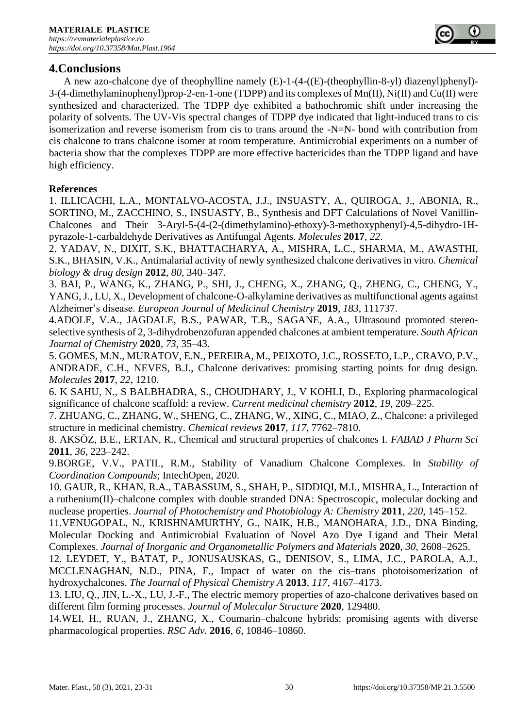# **4.Conclusions**

A new azo-chalcone dye of theophylline namely (E)-1-(4-((E)-(theophyllin-8-yl) diazenyl)phenyl)- 3-(4-dimethylaminophenyl)prop-2-en-1-one (TDPP) and its complexes of Mn(II), Ni(II) and Cu(II) were synthesized and characterized. The TDPP dye exhibited a bathochromic shift under increasing the polarity of solvents. The UV-Vis spectral changes of TDPP dye indicated that light-induced trans to cis isomerization and reverse isomerism from cis to trans around the -N=N- bond with contribution from cis chalcone to trans chalcone isomer at room temperature. Antimicrobial experiments on a number of bacteria show that the complexes TDPP are more effective bactericides than the TDPP ligand and have high efficiency.

## **References**

1. ILLICACHI, L.A., MONTALVO-ACOSTA, J.J., INSUASTY, A., QUIROGA, J., ABONIA, R., SORTINO, M., ZACCHINO, S., INSUASTY, B., Synthesis and DFT Calculations of Novel Vanillin-Chalcones and Their 3-Aryl-5-(4-(2-(dimethylamino)-ethoxy)-3-methoxyphenyl)-4,5-dihydro-1Hpyrazole-1-carbaldehyde Derivatives as Antifungal Agents. *Molecules* **2017**, *22*.

2. YADAV, N., DIXIT, S.K., BHATTACHARYA, A., MISHRA, L.C., SHARMA, M., AWASTHI, S.K., BHASIN, V.K., Antimalarial activity of newly synthesized chalcone derivatives in vitro. *Chemical biology & drug design* **2012**, *80*, 340–347.

3. BAI, P., WANG, K., ZHANG, P., SHI, J., CHENG, X., ZHANG, Q., ZHENG, C., CHENG, Y., YANG, J., LU, X., Development of chalcone-O-alkylamine derivatives as multifunctional agents against Alzheimer's disease. *European Journal of Medicinal Chemistry* **2019**, *183*, 111737.

4.ADOLE, V.A., JAGDALE, B.S., PAWAR, T.B., SAGANE, A.A., Ultrasound promoted stereoselective synthesis of 2, 3-dihydrobenzofuran appended chalcones at ambient temperature. *South African Journal of Chemistry* **2020**, *73*, 35–43.

5. GOMES, M.N., MURATOV, E.N., PEREIRA, M., PEIXOTO, J.C., ROSSETO, L.P., CRAVO, P.V., ANDRADE, C.H., NEVES, B.J., Chalcone derivatives: promising starting points for drug design. *Molecules* **2017**, *22*, 1210.

6. K SAHU, N., S BALBHADRA, S., CHOUDHARY, J., V KOHLI, D., Exploring pharmacological significance of chalcone scaffold: a review. *Current medicinal chemistry* **2012**, *19*, 209–225.

7. ZHUANG, C., ZHANG, W., SHENG, C., ZHANG, W., XING, C., MIAO, Z., Chalcone: a privileged structure in medicinal chemistry. *Chemical reviews* **2017**, *117*, 7762–7810.

8. AKSÖZ, B.E., ERTAN, R., Chemical and structural properties of chalcones I. *FABAD J Pharm Sci* **2011**, *36*, 223–242.

9.BORGE, V.V., PATIL, R.M., Stability of Vanadium Chalcone Complexes. In *Stability of Coordination Compounds*; IntechOpen, 2020.

10. GAUR, R., KHAN, R.A., TABASSUM, S., SHAH, P., SIDDIQI, M.I., MISHRA, L., Interaction of a ruthenium(II)–chalcone complex with double stranded DNA: Spectroscopic, molecular docking and nuclease properties. *Journal of Photochemistry and Photobiology A: Chemistry* **2011**, *220*, 145–152.

11.VENUGOPAL, N., KRISHNAMURTHY, G., NAIK, H.B., MANOHARA, J.D., DNA Binding, Molecular Docking and Antimicrobial Evaluation of Novel Azo Dye Ligand and Their Metal Complexes. *Journal of Inorganic and Organometallic Polymers and Materials* **2020**, *30*, 2608–2625.

12. LEYDET, Y., BATAT, P., JONUSAUSKAS, G., DENISOV, S., LIMA, J.C., PAROLA, A.J., MCCLENAGHAN, N.D., PINA, F., Impact of water on the cis–trans photoisomerization of hydroxychalcones. *The Journal of Physical Chemistry A* **2013**, *117*, 4167–4173.

13. LIU, Q., JIN, L.-X., LU, J.-F., The electric memory properties of azo-chalcone derivatives based on different film forming processes. *Journal of Molecular Structure* **2020**, 129480.

14.WEI, H., RUAN, J., ZHANG, X., Coumarin–chalcone hybrids: promising agents with diverse pharmacological properties. *RSC Adv.* **2016**, *6*, 10846–10860.